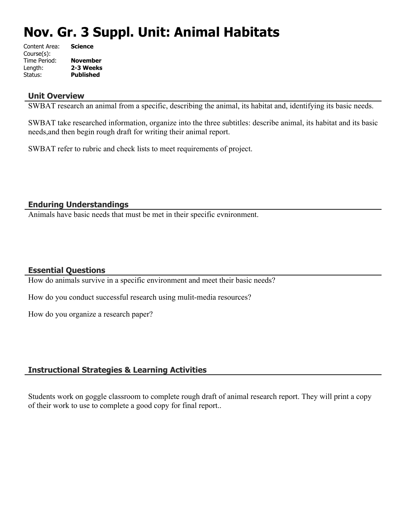# **Nov. Gr. 3 Suppl. Unit: Animal Habitats**

| Content Area: | <b>Science</b>   |
|---------------|------------------|
| Course(s):    |                  |
| Time Period:  | <b>November</b>  |
| Length:       | 2-3 Weeks        |
| Status:       | <b>Published</b> |
|               |                  |

#### **Unit Overview**

SWBAT research an animal from a specific, describing the animal, its habitat and, identifying its basic needs.

SWBAT take researched information, organize into the three subtitles: describe animal, its habitat and its basic needs,and then begin rough draft for writing their animal report.

SWBAT refer to rubric and check lists to meet requirements of project.

# **Enduring Understandings**

Animals have basic needs that must be met in their specific evnironment.

#### **Essential Questions**

How do animals survive in a specific environment and meet their basic needs?

How do you conduct successful research using mulit-media resources?

How do you organize a research paper?

# **Instructional Strategies & Learning Activities**

Students work on goggle classroom to complete rough draft of animal research report. They will print a copy of their work to use to complete a good copy for final report..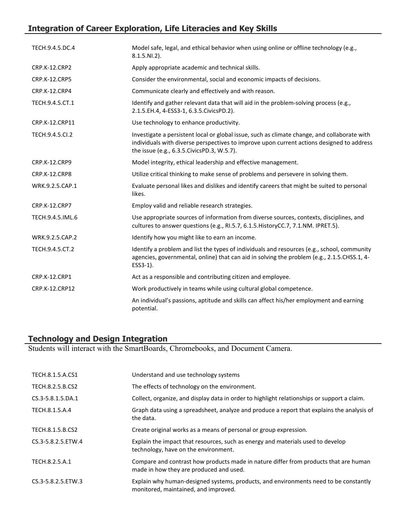# **Integration of Career Exploration, Life Literacies and Key Skills**

| TECH.9.4.5.DC.4      | Model safe, legal, and ethical behavior when using online or offline technology (e.g.,<br>$8.1.5.NI.2$ ).                                                                                                                                 |
|----------------------|-------------------------------------------------------------------------------------------------------------------------------------------------------------------------------------------------------------------------------------------|
| CRP.K-12.CRP2        | Apply appropriate academic and technical skills.                                                                                                                                                                                          |
| CRP.K-12.CRP5        | Consider the environmental, social and economic impacts of decisions.                                                                                                                                                                     |
| CRP.K-12.CRP4        | Communicate clearly and effectively and with reason.                                                                                                                                                                                      |
| TECH.9.4.5.CT.1      | Identify and gather relevant data that will aid in the problem-solving process (e.g.,<br>2.1.5.EH.4, 4-ESS3-1, 6.3.5.CivicsPD.2).                                                                                                         |
| CRP.K-12.CRP11       | Use technology to enhance productivity.                                                                                                                                                                                                   |
| TECH.9.4.5.Cl.2      | Investigate a persistent local or global issue, such as climate change, and collaborate with<br>individuals with diverse perspectives to improve upon current actions designed to address<br>the issue (e.g., 6.3.5. Civics PD.3, W.5.7). |
| <b>CRP.K-12.CRP9</b> | Model integrity, ethical leadership and effective management.                                                                                                                                                                             |
| <b>CRP.K-12.CRP8</b> | Utilize critical thinking to make sense of problems and persevere in solving them.                                                                                                                                                        |
| WRK.9.2.5.CAP.1      | Evaluate personal likes and dislikes and identify careers that might be suited to personal<br>likes.                                                                                                                                      |
| CRP.K-12.CRP7        | Employ valid and reliable research strategies.                                                                                                                                                                                            |
| TECH.9.4.5.IML.6     | Use appropriate sources of information from diverse sources, contexts, disciplines, and<br>cultures to answer questions (e.g., RI.5.7, 6.1.5. HistoryCC.7, 7.1.NM. IPRET.5).                                                              |
| WRK.9.2.5.CAP.2      | Identify how you might like to earn an income.                                                                                                                                                                                            |
| TECH.9.4.5.CT.2      | Identify a problem and list the types of individuals and resources (e.g., school, community<br>agencies, governmental, online) that can aid in solving the problem (e.g., 2.1.5.CHSS.1, 4-<br>ESS3-1).                                    |
| CRP.K-12.CRP1        | Act as a responsible and contributing citizen and employee.                                                                                                                                                                               |
| CRP.K-12.CRP12       | Work productively in teams while using cultural global competence.                                                                                                                                                                        |
|                      | An individual's passions, aptitude and skills can affect his/her employment and earning<br>potential.                                                                                                                                     |

#### **Technology and Design Integration**

Students will interact with the SmartBoards, Chromebooks, and Document Camera.

| TECH.8.1.5.A.CS1   | Understand and use technology systems                                                                                           |
|--------------------|---------------------------------------------------------------------------------------------------------------------------------|
| TECH.8.2.5.B.CS2   | The effects of technology on the environment.                                                                                   |
| CS.3-5.8.1.5.DA.1  | Collect, organize, and display data in order to highlight relationships or support a claim.                                     |
| TECH.8.1.5.A.4     | Graph data using a spreadsheet, analyze and produce a report that explains the analysis of<br>the data.                         |
| TECH.8.1.5.B.CS2   | Create original works as a means of personal or group expression.                                                               |
| CS.3-5.8.2.5.ETW.4 | Explain the impact that resources, such as energy and materials used to develop<br>technology, have on the environment.         |
| TECH.8.2.5.A.1     | Compare and contrast how products made in nature differ from products that are human<br>made in how they are produced and used. |
| CS.3-5.8.2.5.ETW.3 | Explain why human-designed systems, products, and environments need to be constantly<br>monitored, maintained, and improved.    |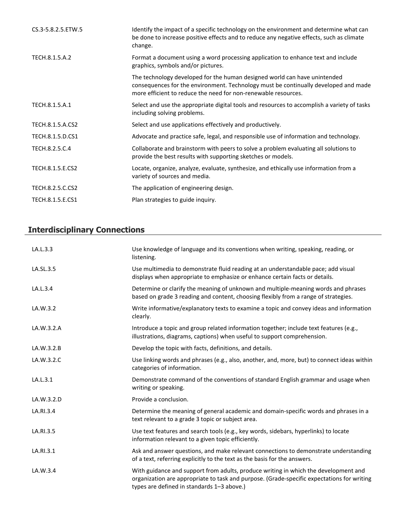| CS.3-5.8.2.5.ETW.5 | Identify the impact of a specific technology on the environment and determine what can<br>be done to increase positive effects and to reduce any negative effects, such as climate<br>change.                                      |
|--------------------|------------------------------------------------------------------------------------------------------------------------------------------------------------------------------------------------------------------------------------|
| TECH.8.1.5.A.2     | Format a document using a word processing application to enhance text and include<br>graphics, symbols and/or pictures.                                                                                                            |
|                    | The technology developed for the human designed world can have unintended<br>consequences for the environment. Technology must be continually developed and made<br>more efficient to reduce the need for non-renewable resources. |
| TECH.8.1.5.A.1     | Select and use the appropriate digital tools and resources to accomplish a variety of tasks<br>including solving problems.                                                                                                         |
| TECH.8.1.5.A.CS2   | Select and use applications effectively and productively.                                                                                                                                                                          |
| TECH.8.1.5.D.CS1   | Advocate and practice safe, legal, and responsible use of information and technology.                                                                                                                                              |
| TECH.8.2.5.C.4     | Collaborate and brainstorm with peers to solve a problem evaluating all solutions to<br>provide the best results with supporting sketches or models.                                                                               |
| TECH.8.1.5.E.CS2   | Locate, organize, analyze, evaluate, synthesize, and ethically use information from a<br>variety of sources and media.                                                                                                             |
| TECH.8.2.5.C.CS2   | The application of engineering design.                                                                                                                                                                                             |
| TECH.8.1.5.E.CS1   | Plan strategies to guide inquiry.                                                                                                                                                                                                  |

# **Interdisciplinary Connections**

| LA.L.3.3   | Use knowledge of language and its conventions when writing, speaking, reading, or<br>listening.                                                                                                                                 |
|------------|---------------------------------------------------------------------------------------------------------------------------------------------------------------------------------------------------------------------------------|
| LA.SL.3.5  | Use multimedia to demonstrate fluid reading at an understandable pace; add visual<br>displays when appropriate to emphasize or enhance certain facts or details.                                                                |
| LA.L.3.4   | Determine or clarify the meaning of unknown and multiple-meaning words and phrases<br>based on grade 3 reading and content, choosing flexibly from a range of strategies.                                                       |
| LA.W.3.2   | Write informative/explanatory texts to examine a topic and convey ideas and information<br>clearly.                                                                                                                             |
| LA.W.3.2.A | Introduce a topic and group related information together; include text features (e.g.,<br>illustrations, diagrams, captions) when useful to support comprehension.                                                              |
| LA.W.3.2.B | Develop the topic with facts, definitions, and details.                                                                                                                                                                         |
| LA.W.3.2.C | Use linking words and phrases (e.g., also, another, and, more, but) to connect ideas within<br>categories of information.                                                                                                       |
| LA.L.3.1   | Demonstrate command of the conventions of standard English grammar and usage when<br>writing or speaking.                                                                                                                       |
| LA.W.3.2.D | Provide a conclusion.                                                                                                                                                                                                           |
| LA.RI.3.4  | Determine the meaning of general academic and domain-specific words and phrases in a<br>text relevant to a grade 3 topic or subject area.                                                                                       |
| LA.RI.3.5  | Use text features and search tools (e.g., key words, sidebars, hyperlinks) to locate<br>information relevant to a given topic efficiently.                                                                                      |
| LA.RI.3.1  | Ask and answer questions, and make relevant connections to demonstrate understanding<br>of a text, referring explicitly to the text as the basis for the answers.                                                               |
| LA.W.3.4   | With guidance and support from adults, produce writing in which the development and<br>organization are appropriate to task and purpose. (Grade-specific expectations for writing<br>types are defined in standards 1-3 above.) |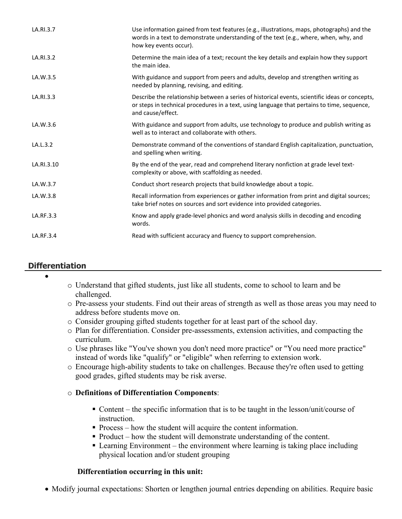| LA.RI.3.7  | Use information gained from text features (e.g., illustrations, maps, photographs) and the<br>words in a text to demonstrate understanding of the text (e.g., where, when, why, and<br>how key events occur).      |
|------------|--------------------------------------------------------------------------------------------------------------------------------------------------------------------------------------------------------------------|
| LA.RI.3.2  | Determine the main idea of a text; recount the key details and explain how they support<br>the main idea.                                                                                                          |
| LA.W.3.5   | With guidance and support from peers and adults, develop and strengthen writing as<br>needed by planning, revising, and editing.                                                                                   |
| LA.RI.3.3  | Describe the relationship between a series of historical events, scientific ideas or concepts,<br>or steps in technical procedures in a text, using language that pertains to time, sequence,<br>and cause/effect. |
| LA.W.3.6   | With guidance and support from adults, use technology to produce and publish writing as<br>well as to interact and collaborate with others.                                                                        |
| LA.L.3.2   | Demonstrate command of the conventions of standard English capitalization, punctuation,<br>and spelling when writing.                                                                                              |
| LA.RI.3.10 | By the end of the year, read and comprehend literary nonfiction at grade level text-<br>complexity or above, with scaffolding as needed.                                                                           |
| LA.W.3.7   | Conduct short research projects that build knowledge about a topic.                                                                                                                                                |
| LA.W.3.8   | Recall information from experiences or gather information from print and digital sources;<br>take brief notes on sources and sort evidence into provided categories.                                               |
| LA.RF.3.3  | Know and apply grade-level phonics and word analysis skills in decoding and encoding<br>words.                                                                                                                     |
| LA.RF.3.4  | Read with sufficient accuracy and fluency to support comprehension.                                                                                                                                                |

# **Differentiation**

 $\bullet$ 

- o Understand that gifted students, just like all students, come to school to learn and be challenged.
- o Pre-assess your students. Find out their areas of strength as well as those areas you may need to address before students move on.
- o Consider grouping gifted students together for at least part of the school day.
- o Plan for differentiation. Consider pre-assessments, extension activities, and compacting the curriculum.
- o Use phrases like "You've shown you don't need more practice" or "You need more practice" instead of words like "qualify" or "eligible" when referring to extension work.
- o Encourage high-ability students to take on challenges. Because they're often used to getting good grades, gifted students may be risk averse.

# o **Definitions of Differentiation Components**:

- Content the specific information that is to be taught in the lesson/unit/course of instruction.
- Process how the student will acquire the content information.
- Product how the student will demonstrate understanding of the content.
- Learning Environment the environment where learning is taking place including physical location and/or student grouping

# **Differentiation occurring in this unit:**

• Modify journal expectations: Shorten or lengthen journal entries depending on abilities. Require basic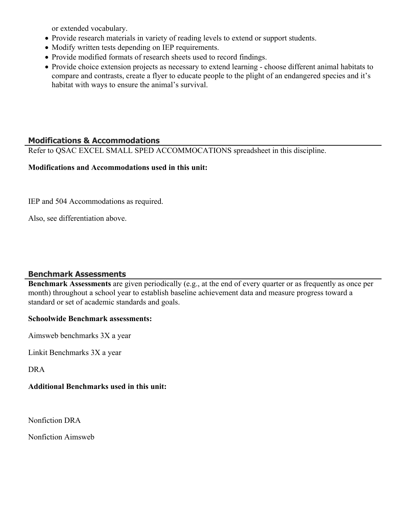or extended vocabulary.

- Provide research materials in variety of reading levels to extend or support students.
- Modify written tests depending on IEP requirements.
- Provide modified formats of research sheets used to record findings.
- Provide choice extension projects as necessary to extend learning choose different animal habitats to compare and contrasts, create a flyer to educate people to the plight of an endangered species and it's habitat with ways to ensure the animal's survival.

#### **Modifications & Accommodations**

Refer to QSAC EXCEL SMALL SPED ACCOMMOCATIONS spreadsheet in this discipline.

#### **Modifications and Accommodations used in this unit:**

IEP and 504 Accommodations as required.

Also, see differentiation above.

#### **Benchmark Assessments**

**Benchmark Assessments** are given periodically (e.g., at the end of every quarter or as frequently as once per month) throughout a school year to establish baseline achievement data and measure progress toward a standard or set of academic standards and goals.

#### **Schoolwide Benchmark assessments:**

Aimsweb benchmarks 3X a year

Linkit Benchmarks 3X a year

DRA

#### **Additional Benchmarks used in this unit:**

Nonfiction DRA

Nonfiction Aimsweb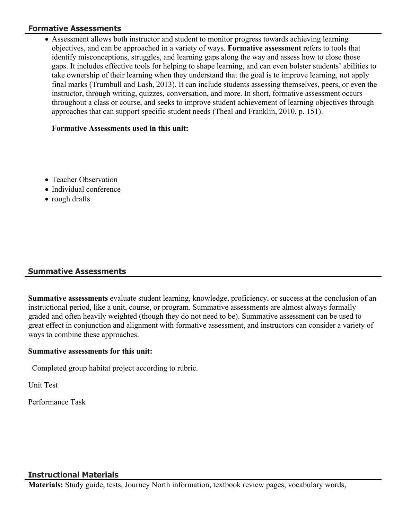#### **Formative Assessments**

 Assessment allows both instructor and student to monitor progress towards achieving learning objectives, and can be approached in a variety of ways. **Formative assessment** refers to tools that identify misconceptions, struggles, and learning gaps along the way and assess how to close those gaps. It includes effective tools for helping to shape learning, and can even bolster students' abilities to take ownership of their learning when they understand that the goal is to improve learning, not apply final marks (Trumbull and Lash, 2013). It can include students assessing themselves, peers, or even the instructor, through writing, quizzes, conversation, and more. In short, formative assessment occurs throughout a class or course, and seeks to improve student achievement of learning objectives through approaches that can support specific student needs (Theal and Franklin, 2010, p. 151).

#### **Formative Assessments used in this unit:**

- Teacher Observation
- Individual conference
- rough drafts

# **Summative Assessments**

**Summative assessments** evaluate student learning, knowledge, proficiency, or success at the conclusion of an instructional period, like a unit, course, or program. Summative assessments are almost always formally graded and often heavily weighted (though they do not need to be). Summative assessment can be used to great effect in conjunction and alignment with formative assessment, and instructors can consider a variety of ways to combine these approaches.

#### **Summative assessments for this unit:**

Completed group habitat project according to rubric.

Unit Test

Performance Task

# **Instructional Materials**